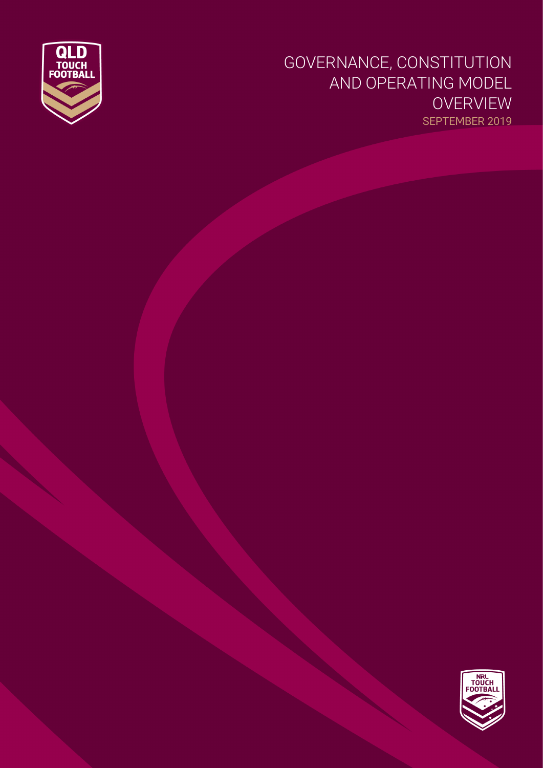

## GOVERNANCE, CONSTITUTION AND OPERATING MODEL OVERVIEW SEPTEMBER 2019

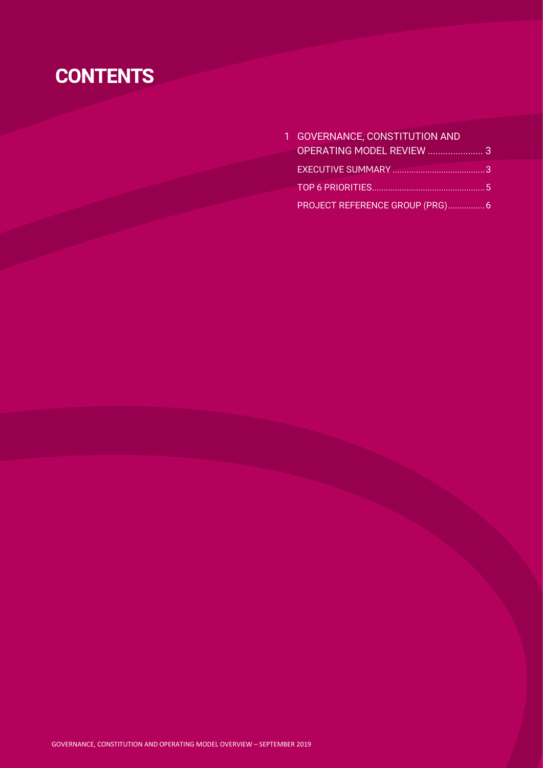## **CONTENTS**

| 1 GOVERNANCE, CONSTITUTION AND  |  |
|---------------------------------|--|
|                                 |  |
|                                 |  |
|                                 |  |
| PROJECT REFERENCE GROUP (PRG) 6 |  |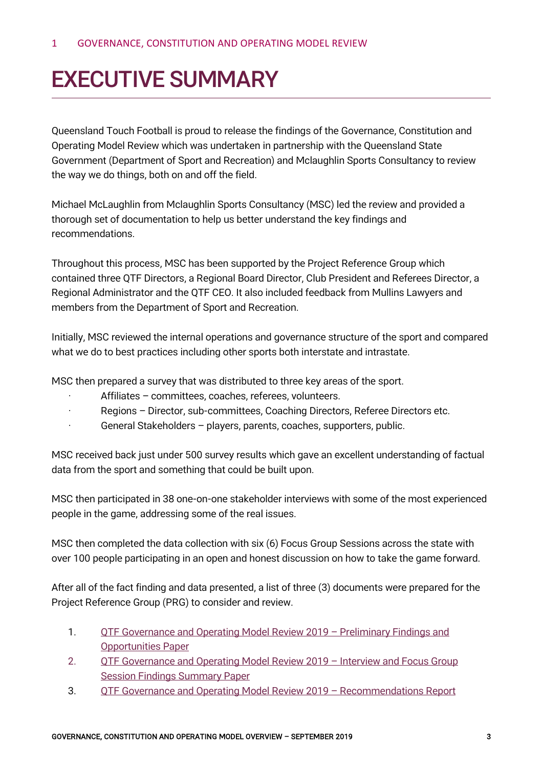## <span id="page-2-1"></span><span id="page-2-0"></span>EXECUTIVE SUMMARY

Queensland Touch Football is proud to release the findings of the Governance, Constitution and Operating Model Review which was undertaken in partnership with the Queensland State Government (Department of Sport and Recreation) and Mclaughlin Sports Consultancy to review the way we do things, both on and off the field.

Michael McLaughlin from Mclaughlin Sports Consultancy (MSC) led the review and provided a thorough set of documentation to help us better understand the key findings and recommendations.

Throughout this process, MSC has been supported by the Project Reference Group which contained three QTF Directors, a Regional Board Director, Club President and Referees Director, a Regional Administrator and the QTF CEO. It also included feedback from Mullins Lawyers and members from the Department of Sport and Recreation.

Initially, MSC reviewed the internal operations and governance structure of the sport and compared what we do to best practices including other sports both interstate and intrastate.

MSC then prepared a survey that was distributed to three key areas of the sport.

- Affiliates committees, coaches, referees, volunteers.
- Regions Director, sub-committees, Coaching Directors, Referee Directors etc.
- General Stakeholders players, parents, coaches, supporters, public.

MSC received back just under 500 survey results which gave an excellent understanding of factual data from the sport and something that could be built upon.

MSC then participated in 38 one-on-one stakeholder interviews with some of the most experienced people in the game, addressing some of the real issues.

MSC then completed the data collection with six (6) Focus Group Sessions across the state with over 100 people participating in an open and honest discussion on how to take the game forward.

After all of the fact finding and data presented, a list of three (3) documents were prepared for the Project Reference Group (PRG) to consider and review.

- 1. [QTF Governance and Operating Model Review 2019 –](https://qldtouch.com.au/wp-content/uploads/2019/09/QTF-Governance-and-Operating-Model-Review-2019-Preliminary-Findings-and-Opportunities-Paper.pdf) Preliminary Findings and [Opportunities Paper](https://qldtouch.com.au/wp-content/uploads/2019/09/QTF-Governance-and-Operating-Model-Review-2019-Preliminary-Findings-and-Opportunities-Paper.pdf)
- 2. **QTF Governance and Operating Model Review 2019 Interview and Focus Group** [Session Findings Summary Paper](https://qldtouch.com.au/wp-content/uploads/2019/09/QTF-Governance-and-Operating-Model-Review-2019-Interview-and-Focus-Group-Session-Findings-Summary-Paper.pdf)
- 3. [QTF Governance and Operating Model Review 2019 –](https://qldtouch.com.au/wp-content/uploads/2019/09/QTF-Governance-and-Operating-Model-Review-2019-Recommendations-Report-.pdf) Recommendations Report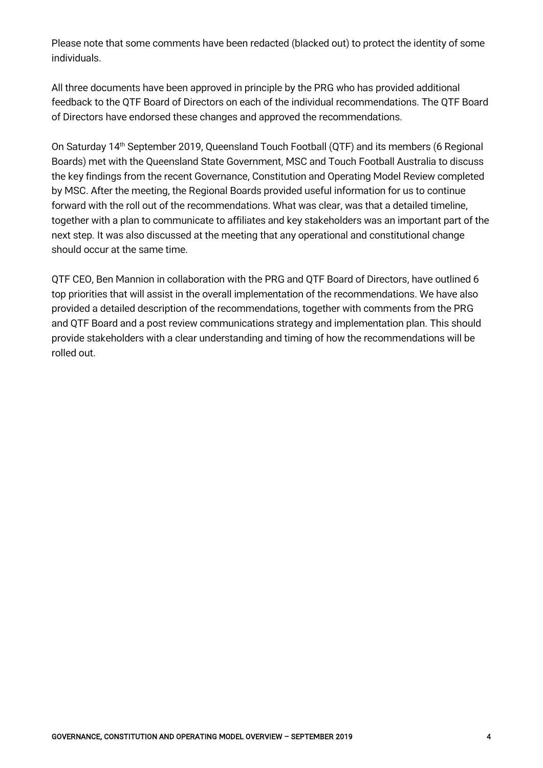Please note that some comments have been redacted (blacked out) to protect the identity of some individuals.

All three documents have been approved in principle by the PRG who has provided additional feedback to the QTF Board of Directors on each of the individual recommendations. The QTF Board of Directors have endorsed these changes and approved the recommendations.

On Saturday 14<sup>th</sup> September 2019, Queensland Touch Football (QTF) and its members (6 Regional Boards) met with the Queensland State Government, MSC and Touch Football Australia to discuss the key findings from the recent Governance, Constitution and Operating Model Review completed by MSC. After the meeting, the Regional Boards provided useful information for us to continue forward with the roll out of the recommendations. What was clear, was that a detailed timeline, together with a plan to communicate to affiliates and key stakeholders was an important part of the next step. It was also discussed at the meeting that any operational and constitutional change should occur at the same time.

QTF CEO, Ben Mannion in collaboration with the PRG and QTF Board of Directors, have outlined 6 top priorities that will assist in the overall implementation of the recommendations. We have also provided a detailed description of the recommendations, together with comments from the PRG and QTF Board and a post review communications strategy and implementation plan. This should provide stakeholders with a clear understanding and timing of how the recommendations will be rolled out.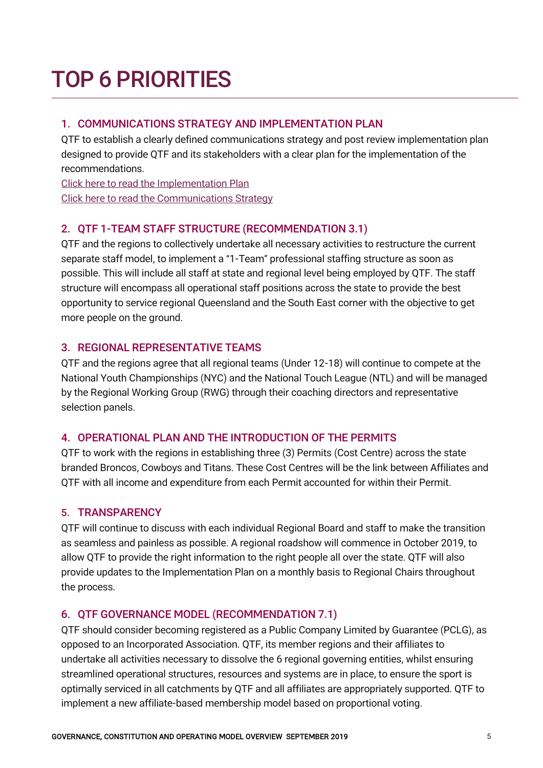# <span id="page-4-0"></span>TOP 6 PRIORITIES

## 1. COMMUNICATIONS STRATEGY AND IMPLEMENTATION PLAN

QTF to establish a clearly defined communications strategy and post review implementation plan designed to provide QTF and its stakeholders with a clear plan for the implementation of the recommendations.

[Click here to read the Implementation Plan](https://qldtouch.com.au/wp-content/uploads/2019/09/QTF-Governance-and-Operating-Model-Review-2019-Implementation-Plan.pdf) [Click here to read the Communications](https://qldtouch.com.au/wp-content/uploads/2019/09/QTF-Governance-and-Operating-Model-Review-2019-Communications-Strategy.pdf) Strategy

## 2. QTF 1-TEAM STAFF STRUCTURE (RECOMMENDATION 3.1)

QTF and the regions to collectively undertake all necessary activities to restructure the current separate staff model, to implement a "1-Team" professional staffing structure as soon as possible. This will include all staff at state and regional level being employed by QTF. The staff structure will encompass all operational staff positions across the state to provide the best opportunity to service regional Queensland and the South East corner with the objective to get more people on the ground.

### 3. REGIONAL REPRESENTATIVE TEAMS

QTF and the regions agree that all regional teams (Under 12-18) will continue to compete at the National Youth Championships (NYC) and the National Touch League (NTL) and will be managed by the Regional Working Group (RWG) through their coaching directors and representative selection panels.

### 4. OPERATIONAL PLAN AND THE INTRODUCTION OF THE PERMITS

QTF to work with the regions in establishing three (3) Permits (Cost Centre) across the state branded Broncos, Cowboys and Titans. These Cost Centres will be the link between Affiliates and QTF with all income and expenditure from each Permit accounted for within their Permit.

### 5. TRANSPARENCY

QTF will continue to discuss with each individual Regional Board and staff to make the transition as seamless and painless as possible. A regional roadshow will commence in October 2019, to allow QTF to provide the right information to the right people all over the state. QTF will also provide updates to the Implementation Plan on a monthly basis to Regional Chairs throughout the process.

### 6. QTF GOVERNANCE MODEL (RECOMMENDATION 7.1)

QTF should consider becoming registered as a Public Company Limited by Guarantee (PCLG), as opposed to an Incorporated Association. QTF, its member regions and their affiliates to undertake all activities necessary to dissolve the 6 regional governing entities, whilst ensuring streamlined operational structures, resources and systems are in place, to ensure the sport is optimally serviced in all catchments by QTF and all affiliates are appropriately supported. QTF to implement a new affiliate-based membership model based on proportional voting.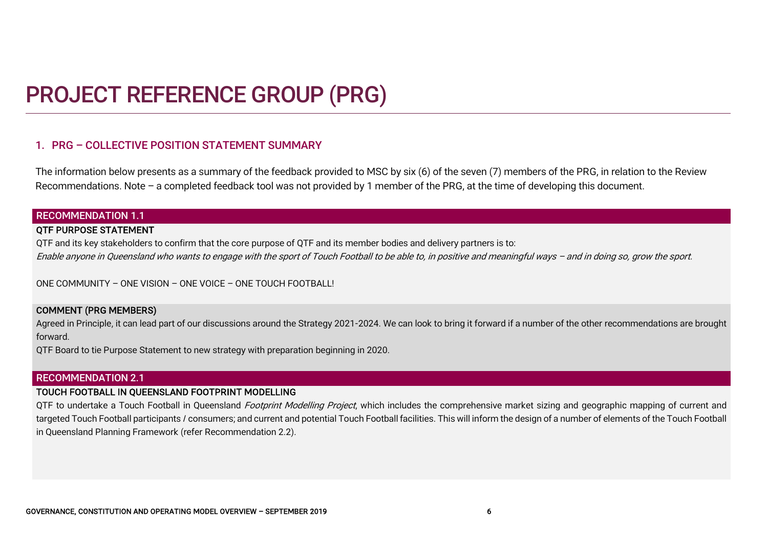## PROJECT REFERENCE GROUP (PRG)

### 1. PRG – COLLECTIVE POSITION STATEMENT SUMMARY

The information below presents as a summary of the feedback provided to MSC by six (6) of the seven (7) members of the PRG, in relation to the Review Recommendations. Note – a completed feedback tool was not provided by 1 member of the PRG, at the time of developing this document.

#### RECOMMENDATION 1.1

#### QTF PURPOSE STATEMENT

QTF and its key stakeholders to confirm that the core purpose of QTF and its member bodies and delivery partners is to: Enable anyone in Queensland who wants to engage with the sport of Touch Football to be able to, in positive and meaningful ways – and in doing so, grow the sport.

ONE COMMUNITY – ONE VISION – ONE VOICE – ONE TOUCH FOOTBALL!

#### <span id="page-5-0"></span>COMMENT (PRG MEMBERS)

Agreed in Principle, it can lead part of our discussions around the Strategy 2021-2024. We can look to bring it forward if a number of the other recommendations are brought forward.

QTF Board to tie Purpose Statement to new strategy with preparation beginning in 2020.

#### RECOMMENDATION 2.1

#### TOUCH FOOTBALL IN QUEENSLAND FOOTPRINT MODELLING

QTF to undertake a Touch Football in Queensland Footprint Modelling Project, which includes the comprehensive market sizing and geographic mapping of current and targeted Touch Football participants / consumers; and current and potential Touch Football facilities. This will inform the design of a number of elements of the Touch Football in Queensland Planning Framework (refer Recommendation 2.2).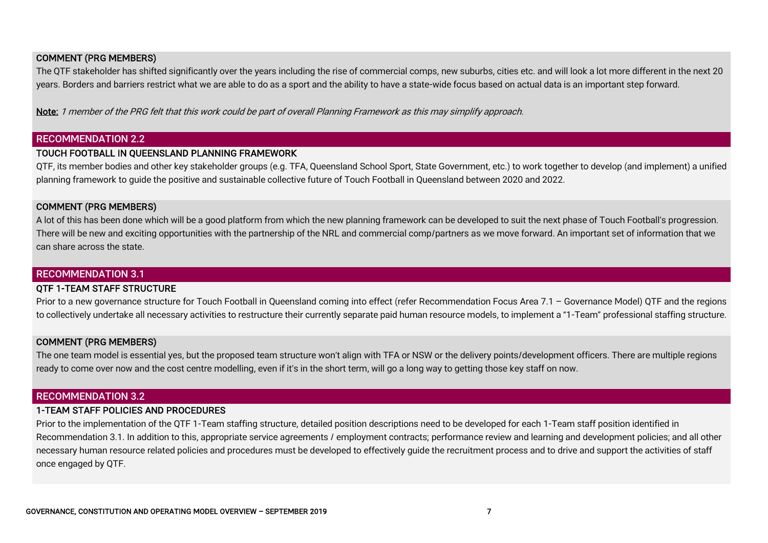#### COMMENT (PRG MEMBERS)

The QTF stakeholder has shifted significantly over the years including the rise of commercial comps, new suburbs, cities etc. and will look a lot more different in the next 20 years. Borders and barriers restrict what we are able to do as a sport and the ability to have a state-wide focus based on actual data is an important step forward.

Note: 1 member of the PRG felt that this work could be part of overall Planning Framework as this may simplify approach.

#### RECOMMENDATION 2.2

#### TOUCH FOOTBALL IN QUEENSLAND PLANNING FRAMEWORK

QTF, its member bodies and other key stakeholder groups (e.g. TFA, Queensland School Sport, State Government, etc.) to work together to develop (and implement) a unified planning framework to guide the positive and sustainable collective future of Touch Football in Queensland between 2020 and 2022.

#### COMMENT (PRG MEMBERS)

A lot of this has been done which will be a good platform from which the new planning framework can be developed to suit the next phase of Touch Football's progression. There will be new and exciting opportunities with the partnership of the NRL and commercial comp/partners as we move forward. An important set of information that we can share across the state.

#### RECOMMENDATION 3.1

#### QTF 1-TEAM STAFF STRUCTURE

Prior to a new governance structure for Touch Football in Queensland coming into effect (refer Recommendation Focus Area 7.1 - Governance Model) QTF and the regions to collectively undertake all necessary activities to restructure their currently separate paid human resource models, to implement a "1-Team" professional staffing structure.

#### COMMENT (PRG MEMBERS)

The one team model is essential yes, but the proposed team structure won't align with TFA or NSW or the delivery points/development officers. There are multiple regions ready to come over now and the cost centre modelling, even if it's in the short term, will go a long way to getting those key staff on now.

#### RECOMMENDATION 3.2

#### 1-TEAM STAFF POLICIES AND PROCEDURES

Prior to the implementation of the QTF 1-Team staffing structure, detailed position descriptions need to be developed for each 1-Team staff position identified in Recommendation 3.1. In addition to this, appropriate service agreements / employment contracts; performance review and learning and development policies; and all other necessary human resource related policies and procedures must be developed to effectively guide the recruitment process and to drive and support the activities of staff once engaged by QTF.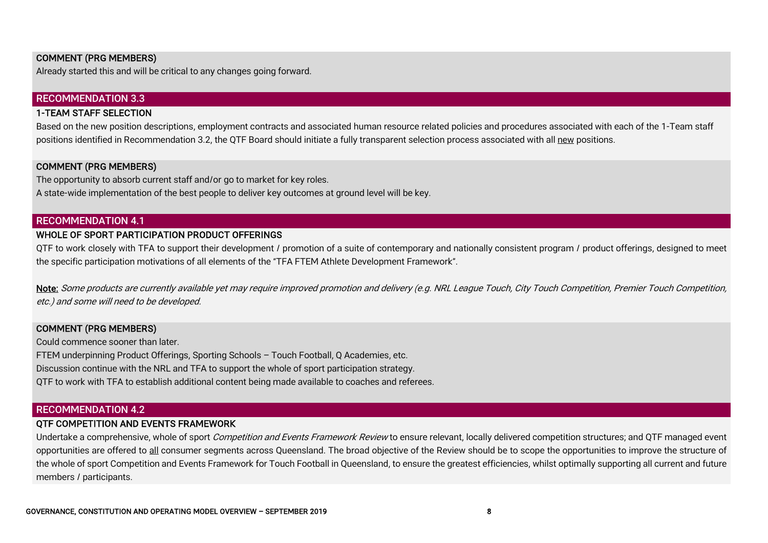#### COMMENT (PRG MEMBERS)

Already started this and will be critical to any changes going forward.

#### RECOMMENDATION 3.3

#### 1-TEAM STAFF SELECTION

Based on the new position descriptions, employment contracts and associated human resource related policies and procedures associated with each of the 1-Team staff positions identified in Recommendation 3.2, the QTF Board should initiate a fully transparent selection process associated with all new positions.

#### COMMENT (PRG MEMBERS)

The opportunity to absorb current staff and/or go to market for key roles. A state-wide implementation of the best people to deliver key outcomes at ground level will be key.

#### RECOMMENDATION 4.1

#### WHOLE OF SPORT PARTICIPATION PRODUCT OFFERINGS

QTF to work closely with TFA to support their development / promotion of a suite of contemporary and nationally consistent program / product offerings, designed to meet the specific participation motivations of all elements of the "TFA FTEM Athlete Development Framework".

Note: Some products are currently available yet may require improved promotion and delivery (e.g. NRL League Touch, City Touch Competition, Premier Touch Competition, etc.) and some will need to be developed.

#### COMMENT (PRG MEMBERS)

Could commence sooner than later. FTEM underpinning Product Offerings, Sporting Schools – Touch Football, Q Academies, etc. Discussion continue with the NRL and TFA to support the whole of sport participation strategy. QTF to work with TFA to establish additional content being made available to coaches and referees.

#### RECOMMENDATION 4.2

#### QTF COMPETITION AND EVENTS FRAMEWORK

Undertake a comprehensive, whole of sport *Competition and Events Framework Review* to ensure relevant, locally delivered competition structures; and QTF managed event opportunities are offered to all consumer segments across Queensland. The broad objective of the Review should be to scope the opportunities to improve the structure of the whole of sport Competition and Events Framework for Touch Football in Queensland, to ensure the greatest efficiencies, whilst optimally supporting all current and future members / participants.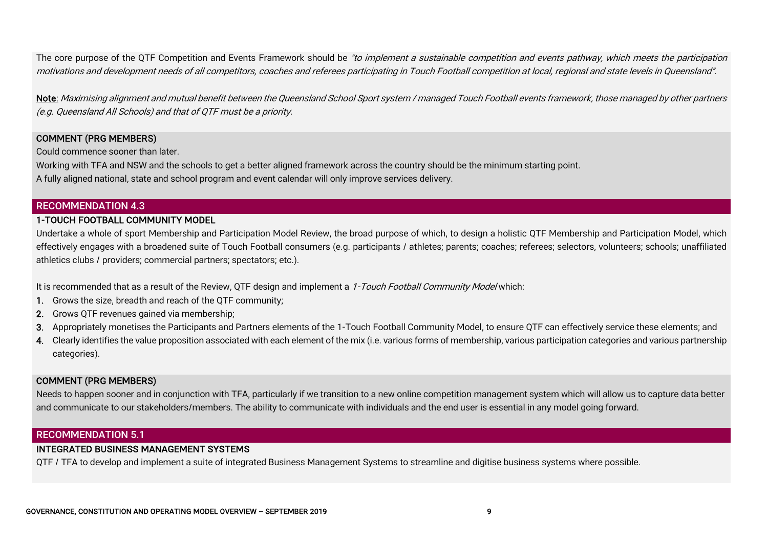The core purpose of the QTF Competition and Events Framework should be "to implement a sustainable competition and events pathway, which meets the participation motivations and development needs of all competitors, coaches and referees participating in Touch Football competition at local, regional and state levels in Queensland".

Note: Maximising alignment and mutual benefit between the Queensland School Sport system / managed Touch Football events framework, those managed by other partners (e.g. Queensland All Schools) and that of QTF must be a priority.

#### COMMENT (PRG MEMBERS)

Could commence sooner than later.

Working with TFA and NSW and the schools to get a better aligned framework across the country should be the minimum starting point.

A fully aligned national, state and school program and event calendar will only improve services delivery.

#### RECOMMENDATION 4.3

#### 1-TOUCH FOOTBALL COMMUNITY MODEL

Undertake a whole of sport Membership and Participation Model Review, the broad purpose of which, to design a holistic QTF Membership and Participation Model, which effectively engages with a broadened suite of Touch Football consumers (e.g. participants / athletes; parents; coaches; referees; selectors, volunteers; schools; unaffiliated athletics clubs / providers; commercial partners; spectators; etc.).

It is recommended that as a result of the Review, OTF design and implement a 1-Touch Football Community Model which:

- 1. Grows the size, breadth and reach of the QTF community;
- 2. Grows QTF revenues gained via membership;
- 3. Appropriately monetises the Participants and Partners elements of the 1-Touch Football Community Model, to ensure QTF can effectively service these elements; and
- 4. Clearly identifies the value proposition associated with each element of the mix (i.e. various forms of membership, various participation categories and various partnership categories).

#### COMMENT (PRG MEMBERS)

Needs to happen sooner and in conjunction with TFA, particularly if we transition to a new online competition management system which will allow us to capture data better and communicate to our stakeholders/members. The ability to communicate with individuals and the end user is essential in any model going forward.

#### RECOMMENDATION 5.1

#### INTEGRATED BUSINESS MANAGEMENT SYSTEMS

QTF / TFA to develop and implement a suite of integrated Business Management Systems to streamline and digitise business systems where possible.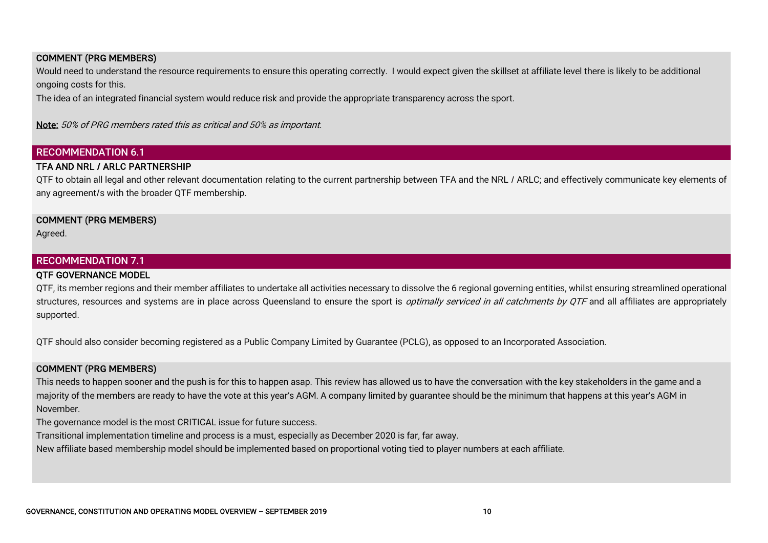#### COMMENT (PRG MEMBERS)

Would need to understand the resource requirements to ensure this operating correctly. I would expect given the skillset at affiliate level there is likely to be additional ongoing costs for this.

The idea of an integrated financial system would reduce risk and provide the appropriate transparency across the sport.

Note: 50% of PRG members rated this as critical and 50% as important.

#### RECOMMENDATION 6.1

#### TFA AND NRL / ARLC PARTNERSHIP

QTF to obtain all legal and other relevant documentation relating to the current partnership between TFA and the NRL / ARLC; and effectively communicate key elements of any agreement/s with the broader QTF membership.

#### COMMENT (PRG MEMBERS)

Agreed.

#### RECOMMENDATION 7.1

#### QTF GOVERNANCE MODEL

QTF, its member regions and their member affiliates to undertake all activities necessary to dissolve the 6 regional governing entities, whilst ensuring streamlined operational structures, resources and systems are in place across Queensland to ensure the sport is *optimally serviced in all catchments by QTF* and all affiliates are appropriately supported.

QTF should also consider becoming registered as a Public Company Limited by Guarantee (PCLG), as opposed to an Incorporated Association.

#### COMMENT (PRG MEMBERS)

This needs to happen sooner and the push is for this to happen asap. This review has allowed us to have the conversation with the key stakeholders in the game and a majority of the members are ready to have the vote at this year's AGM. A company limited by guarantee should be the minimum that happens at this year's AGM in November.

The governance model is the most CRITICAL issue for future success.

Transitional implementation timeline and process is a must, especially as December 2020 is far, far away.

New affiliate based membership model should be implemented based on proportional voting tied to player numbers at each affiliate.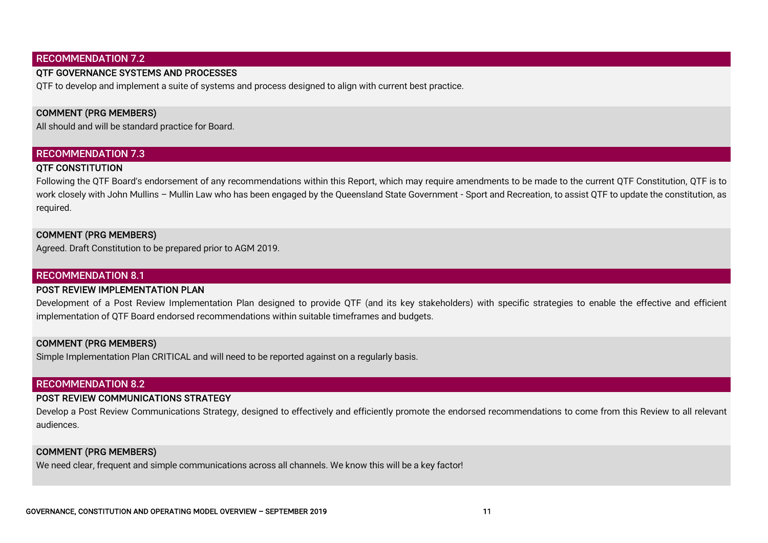#### RECOMMENDATION 7.2

#### QTF GOVERNANCE SYSTEMS AND PROCESSES

QTF to develop and implement a suite of systems and process designed to align with current best practice.

#### COMMENT (PRG MEMBERS)

All should and will be standard practice for Board.

#### RECOMMENDATION 7.3

#### QTF CONSTITUTION

Following the QTF Board's endorsement of any recommendations within this Report, which may require amendments to be made to the current QTF Constitution, QTF is to work closely with John Mullins – Mullin Law who has been engaged by the Queensland State Government - Sport and Recreation, to assist QTF to update the constitution, as required.

#### COMMENT (PRG MEMBERS)

Agreed. Draft Constitution to be prepared prior to AGM 2019.

#### RECOMMENDATION 8.1

#### POST REVIEW IMPLEMENTATION PLAN

Development of a Post Review Implementation Plan designed to provide QTF (and its key stakeholders) with specific strategies to enable the effective and efficient implementation of QTF Board endorsed recommendations within suitable timeframes and budgets.

#### COMMENT (PRG MEMBERS)

Simple Implementation Plan CRITICAL and will need to be reported against on a regularly basis.

#### RECOMMENDATION 8.2

#### POST REVIEW COMMUNICATIONS STRATEGY

Develop a Post Review Communications Strategy, designed to effectively and efficiently promote the endorsed recommendations to come from this Review to all relevant audiences.

#### COMMENT (PRG MEMBERS)

We need clear, frequent and simple communications across all channels. We know this will be a key factor!